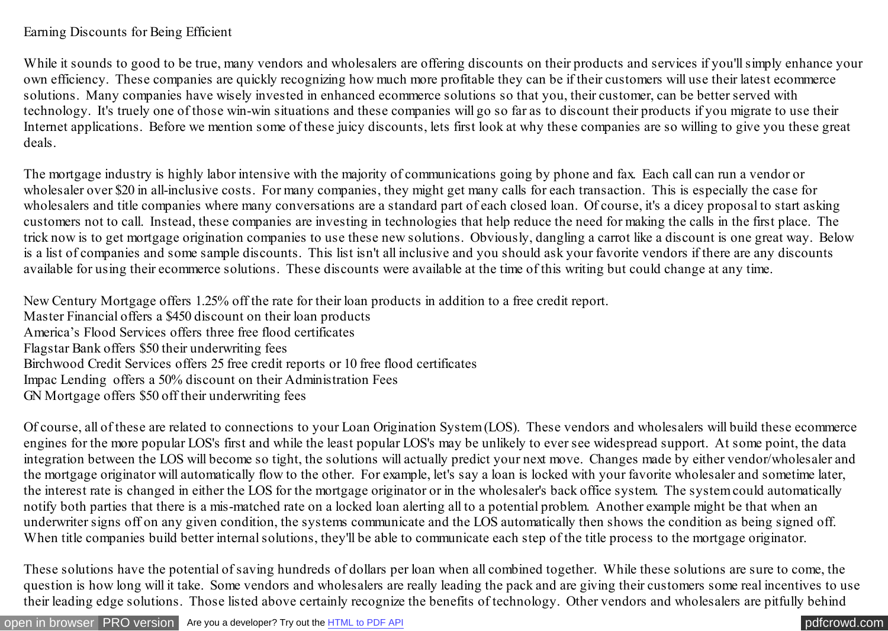## Earning Discounts for Being Efficient

While it sounds to good to be true, many vendors and wholesalers are offering discounts on their products and services if you'll simply enhance your own efficiency. These companies are quickly recognizing how much more profitable they can be if their customers will use their latest ecommerce solutions. Many companies have wisely invested in enhanced ecommerce solutions so that you, their customer, can be better served with technology. It's truely one of those win-win situations and these companies will go so far as to discount their products if you migrate to use their Internet applications. Before we mention some of these juicy discounts, lets first look at why these companies are so willing to give you these great deals.

The mortgage industry is highly labor intensive with the majority of communications going by phone and fax. Each call can run a vendor or wholesaler over \$20 in all-inclusive costs. For many companies, they might get many calls for each transaction. This is especially the case for wholesalers and title companies where many conversations are a standard part of each closed loan. Of course, it's a dicey proposal to start asking customers not to call. Instead, these companies are investing in technologies that help reduce the need for making the calls in the first place. The trick now is to get mortgage origination companies to use these new solutions. Obviously, dangling a carrot like a discount is one great way. Below is a list of companies and some sample discounts. This list isn't all inclusive and you should ask your favorite vendors if there are any discounts available for using their ecommerce solutions. These discounts were available at the time of this writing but could change at any time.

New Century Mortgage offers 1.25% off the rate for their loan products in addition to a free credit report.

Master Financial offers a \$450 discount on their loan products America's Flood Services offers three free flood certificates Flagstar Bank offers \$50 their underwriting fees Birchwood Credit Services offers 25 free credit reports or 10 free flood certificates Impac Lending offers a 50% discount on their Administration Fees GN Mortgage offers \$50 off their underwriting fees

Of course, all of these are related to connections to your Loan Origination System (LOS). These vendors and wholesalers will build these ecommerce engines for the more popular LOS's first and while the least popular LOS's may be unlikely to ever see widespread support. At some point, the data integration between the LOS will become so tight, the solutions will actually predict your next move. Changes made by either vendor/wholesaler and the mortgage originator will automatically flow to the other. For example, let's say a loan is locked with your favorite wholesaler and sometime later, the interest rate is changed in either the LOS for the mortgage originator or in the wholesaler's back office system. The system could automatically notify both parties that there is a mis-matched rate on a locked loan alerting all to a potential problem. Another example might be that when an underwriter signs off on any given condition, the systems communicate and the LOS automatically then shows the condition as being signed off. When title companies build better internal solutions, they'll be able to communicate each step of the title process to the mortgage originator.

These solutions have the potential of saving hundreds of dollars per loan when all combined together. While these solutions are sure to come, the question is how long will it take. Some vendors and wholesalers are really leading the pack and are giving their customers some real incentives to use their leading edge solutions. Those listed above certainly recognize the benefits of technology. Other vendors and wholesalers are pitfully behind